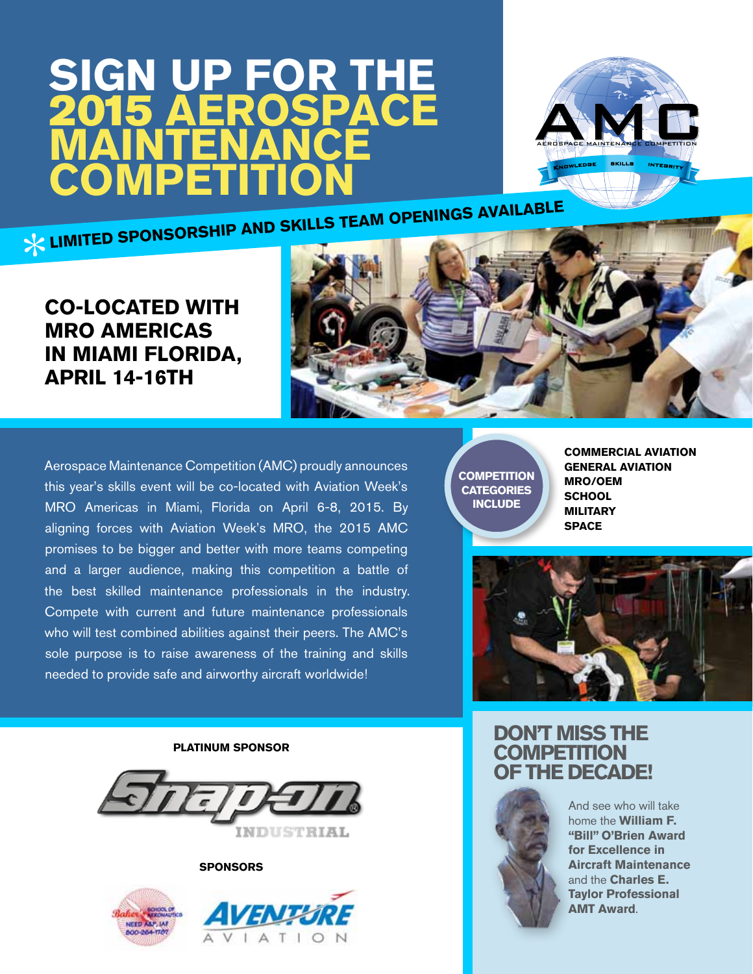## **Sign up for the** 2015 **Aerospace MAINTENANC Competition**



**Limited Sponsorship and Skills Team Openings Available**

### **Co-located with MRO Americas in Miami Florida, April 14-16th**



Aerospace Maintenance Competition (AMC) proudly announces this year's skills event will be co-located with Aviation Week's MRO Americas in Miami, Florida on April 6-8, 2015. By aligning forces with Aviation Week's MRO, the 2015 AMC promises to be bigger and better with more teams competing and a larger audience, making this competition a battle of the best skilled maintenance professionals in the industry. Compete with current and future maintenance professionals who will test combined abilities against their peers. The AMC's sole purpose is to raise awareness of the training and skills needed to provide safe and airworthy aircraft worldwide!

**Competition Categories include**

**Commercial Aviation General Aviation MRO/OEM School Military Space**





**Platinum Sponsor**

**Sponsors**



### **Don't miss the competition of the decade!**



And see who will take home the **William F. "Bill" O'Brien Award for Excellence in Aircraft Maintenance** and the **Charles E. Taylor Professional AMT Award**.